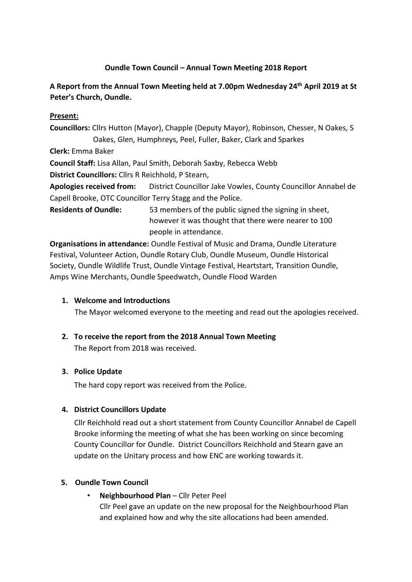# **Oundle Town Council – Annual Town Meeting 2018 Report**

# **A Report from the Annual Town Meeting held at 7.00pm Wednesday 24th April 2019 at St Peter's Church, Oundle.**

#### **Present:**

**Councillors:** Cllrs Hutton (Mayor), Chapple (Deputy Mayor), Robinson, Chesser, N Oakes, S Oakes, Glen, Humphreys, Peel, Fuller, Baker, Clark and Sparkes

**Clerk:** Emma Baker

**Council Staff:** Lisa Allan, Paul Smith, Deborah Saxby, Rebecca Webb

**District Councillors:** Cllrs R Reichhold, P Stearn,

**Apologies received from:** District Councillor Jake Vowles, County Councillor Annabel de Capell Brooke, OTC Councillor Terry Stagg and the Police.

**Residents of Oundle:** 53 members of the public signed the signing in sheet, however it was thought that there were nearer to 100 people in attendance.

**Organisations in attendance:** Oundle Festival of Music and Drama, Oundle Literature Festival, Volunteer Action, Oundle Rotary Club, Oundle Museum, Oundle Historical Society, Oundle Wildlife Trust, Oundle Vintage Festival, Heartstart, Transition Oundle, Amps Wine Merchants, Oundle Speedwatch, Oundle Flood Warden

## **1. Welcome and Introductions**

The Mayor welcomed everyone to the meeting and read out the apologies received.

# **2. To receive the report from the 2018 Annual Town Meeting**

The Report from 2018 was received.

## **3. Police Update**

The hard copy report was received from the Police.

## **4. District Councillors Update**

Cllr Reichhold read out a short statement from County Councillor Annabel de Capell Brooke informing the meeting of what she has been working on since becoming County Councillor for Oundle. District Councillors Reichhold and Stearn gave an update on the Unitary process and how ENC are working towards it.

#### **5. Oundle Town Council**

• **Neighbourhood Plan** – Cllr Peter Peel Cllr Peel gave an update on the new proposal for the Neighbourhood Plan and explained how and why the site allocations had been amended.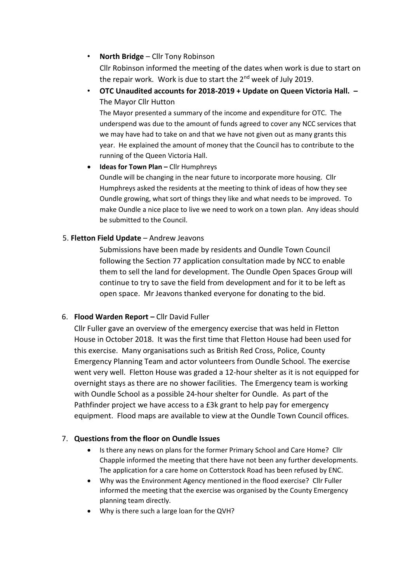#### • **North Bridge** – Cllr Tony Robinson

Cllr Robinson informed the meeting of the dates when work is due to start on the repair work. Work is due to start the 2<sup>nd</sup> week of July 2019.

• **OTC Unaudited accounts for 2018-2019 + Update on Queen Victoria Hall. –** The Mayor Cllr Hutton

The Mayor presented a summary of the income and expenditure for OTC. The underspend was due to the amount of funds agreed to cover any NCC services that we may have had to take on and that we have not given out as many grants this year. He explained the amount of money that the Council has to contribute to the running of the Queen Victoria Hall.

• **Ideas for Town Plan –** Cllr Humphreys Oundle will be changing in the near future to incorporate more housing. Cllr Humphreys asked the residents at the meeting to think of ideas of how they see Oundle growing, what sort of things they like and what needs to be improved. To make Oundle a nice place to live we need to work on a town plan. Any ideas should be submitted to the Council.

#### 5. **Fletton Field Update** – Andrew Jeavons

Submissions have been made by residents and Oundle Town Council following the Section 77 application consultation made by NCC to enable them to sell the land for development. The Oundle Open Spaces Group will continue to try to save the field from development and for it to be left as open space. Mr Jeavons thanked everyone for donating to the bid.

## 6. **Flood Warden Report –** Cllr David Fuller

Cllr Fuller gave an overview of the emergency exercise that was held in Fletton House in October 2018. It was the first time that Fletton House had been used for this exercise. Many organisations such as British Red Cross, Police, County Emergency Planning Team and actor volunteers from Oundle School. The exercise went very well. Fletton House was graded a 12-hour shelter as it is not equipped for overnight stays as there are no shower facilities. The Emergency team is working with Oundle School as a possible 24-hour shelter for Oundle. As part of the Pathfinder project we have access to a £3k grant to help pay for emergency equipment. Flood maps are available to view at the Oundle Town Council offices.

#### 7. **Questions from the floor on Oundle Issues**

- Is there any news on plans for the former Primary School and Care Home? Cllr Chapple informed the meeting that there have not been any further developments. The application for a care home on Cotterstock Road has been refused by ENC.
- Why was the Environment Agency mentioned in the flood exercise? Cllr Fuller informed the meeting that the exercise was organised by the County Emergency planning team directly.
- Why is there such a large loan for the QVH?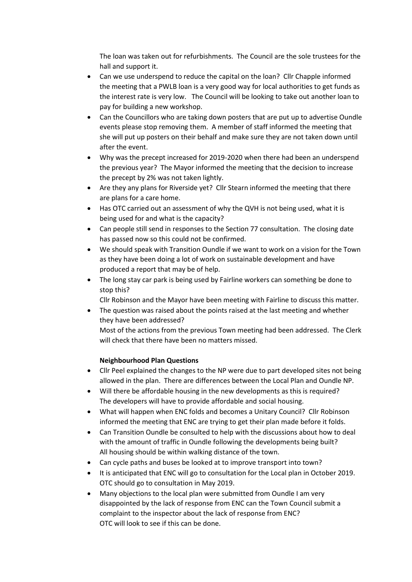The loan was taken out for refurbishments. The Council are the sole trustees for the hall and support it.

- Can we use underspend to reduce the capital on the loan? Cllr Chapple informed the meeting that a PWLB loan is a very good way for local authorities to get funds as the interest rate is very low. The Council will be looking to take out another loan to pay for building a new workshop.
- Can the Councillors who are taking down posters that are put up to advertise Oundle events please stop removing them. A member of staff informed the meeting that she will put up posters on their behalf and make sure they are not taken down until after the event.
- Why was the precept increased for 2019-2020 when there had been an underspend the previous year? The Mayor informed the meeting that the decision to increase the precept by 2% was not taken lightly.
- Are they any plans for Riverside yet? Cllr Stearn informed the meeting that there are plans for a care home.
- Has OTC carried out an assessment of why the QVH is not being used, what it is being used for and what is the capacity?
- Can people still send in responses to the Section 77 consultation. The closing date has passed now so this could not be confirmed.
- We should speak with Transition Oundle if we want to work on a vision for the Town as they have been doing a lot of work on sustainable development and have produced a report that may be of help.
- The long stay car park is being used by Fairline workers can something be done to stop this?

Cllr Robinson and the Mayor have been meeting with Fairline to discuss this matter.

• The question was raised about the points raised at the last meeting and whether they have been addressed? Most of the actions from the previous Town meeting had been addressed. The Clerk will check that there have been no matters missed.

#### **Neighbourhood Plan Questions**

- Cllr Peel explained the changes to the NP were due to part developed sites not being allowed in the plan. There are differences between the Local Plan and Oundle NP.
- Will there be affordable housing in the new developments as this is required? The developers will have to provide affordable and social housing.
- What will happen when ENC folds and becomes a Unitary Council? Cllr Robinson informed the meeting that ENC are trying to get their plan made before it folds.
- Can Transition Oundle be consulted to help with the discussions about how to deal with the amount of traffic in Oundle following the developments being built? All housing should be within walking distance of the town.
- Can cycle paths and buses be looked at to improve transport into town?
- It is anticipated that ENC will go to consultation for the Local plan in October 2019. OTC should go to consultation in May 2019.
- Many objections to the local plan were submitted from Oundle I am very disappointed by the lack of response from ENC can the Town Council submit a complaint to the inspector about the lack of response from ENC? OTC will look to see if this can be done.